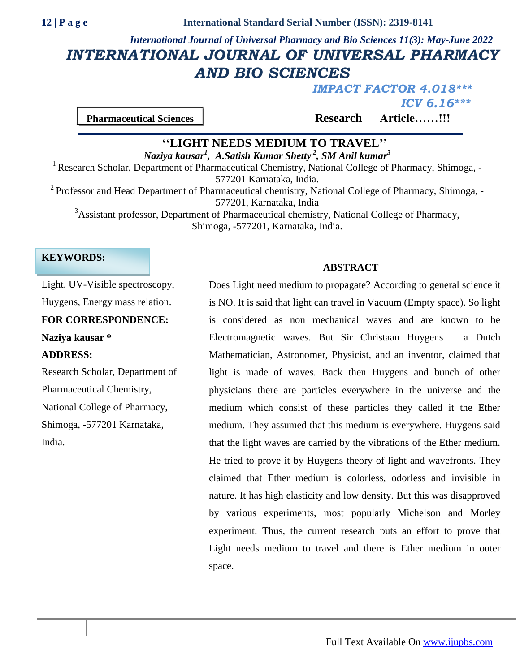# *International Journal of Universal Pharmacy and Bio Sciences 11(3): May-June 2022 INTERNATIONAL JOURNAL OF UNIVERSAL PHARMACY AND BIO SCIENCES*

*IMPACT FACTOR 4.018\*\*\* ICV 6.16\*\*\**

**Pharmaceutical Sciences Research Article……!!!** 

# **''LIGHT NEEDS MEDIUM TO TRAVEL''**

*Naziya kausar<sup>1</sup> , A.Satish Kumar Shetty <sup>2</sup> , SM Anil kumar<sup>3</sup>* <sup>1</sup> Research Scholar, Department of Pharmaceutical Chemistry, National College of Pharmacy, Shimoga, -

577201 Karnataka, India.

 $2$  Professor and Head Department of Pharmaceutical chemistry, National College of Pharmacy, Shimoga, -577201, Karnataka, India

<sup>3</sup>Assistant professor, Department of Pharmaceutical chemistry, National College of Pharmacy, Shimoga, -577201, Karnataka, India.

# **KEYWORDS:**

# **ABSTRACT**

Light, UV-Visible spectroscopy, Huygens, Energy mass relation. **FOR CORRESPONDENCE: Naziya kausar \* ADDRESS:** Research Scholar, Department of Pharmaceutical Chemistry, National College of Pharmacy,

Shimoga, -577201 Karnataka, India.

Does Light need medium to propagate? According to general science it is NO. It is said that light can travel in Vacuum (Empty space). So light is considered as non mechanical waves and are known to be Electromagnetic waves. But Sir Christaan Huygens – a Dutch Mathematician, Astronomer, Physicist, and an inventor, claimed that light is made of waves. Back then Huygens and bunch of other physicians there are particles everywhere in the universe and the medium which consist of these particles they called it the Ether medium. They assumed that this medium is everywhere. Huygens said that the light waves are carried by the vibrations of the Ether medium. He tried to prove it by Huygens theory of light and wavefronts. They claimed that Ether medium is colorless, odorless and invisible in nature. It has high elasticity and low density. But this was disapproved by various experiments, most popularly Michelson and Morley experiment. Thus, the current research puts an effort to prove that Light needs medium to travel and there is Ether medium in outer space.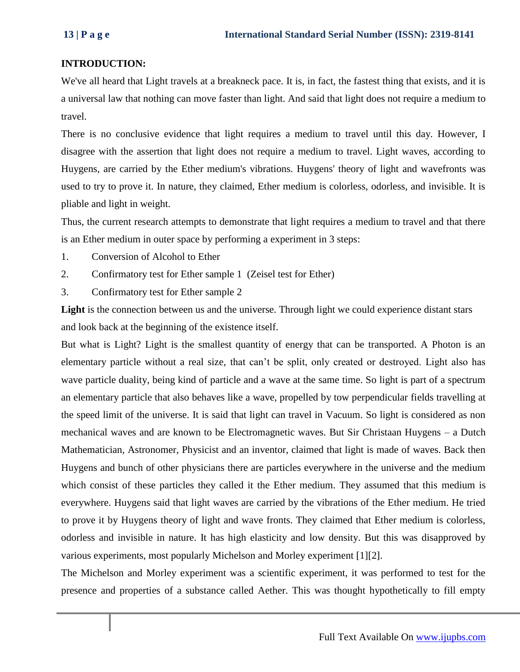# **INTRODUCTION:**

We've all heard that Light travels at a breakneck pace. It is, in fact, the fastest thing that exists, and it is a universal law that nothing can move faster than light. And said that light does not require a medium to travel.

There is no conclusive evidence that light requires a medium to travel until this day. However, I disagree with the assertion that light does not require a medium to travel. Light waves, according to Huygens, are carried by the Ether medium's vibrations. Huygens' theory of light and wavefronts was used to try to prove it. In nature, they claimed, Ether medium is colorless, odorless, and invisible. It is pliable and light in weight.

Thus, the current research attempts to demonstrate that light requires a medium to travel and that there is an Ether medium in outer space by performing a experiment in 3 steps:

- 1. Conversion of Alcohol to Ether
- 2. Confirmatory test for Ether sample 1 (Zeisel test for Ether)
- 3. Confirmatory test for Ether sample 2

Light is the connection between us and the universe. Through light we could experience distant stars and look back at the beginning of the existence itself.

But what is Light? Light is the smallest quantity of energy that can be transported. A Photon is an elementary particle without a real size, that can't be split, only created or destroyed. Light also has wave particle duality, being kind of particle and a wave at the same time. So light is part of a spectrum an elementary particle that also behaves like a wave, propelled by tow perpendicular fields travelling at the speed limit of the universe. It is said that light can travel in Vacuum. So light is considered as non mechanical waves and are known to be Electromagnetic waves. But Sir Christaan Huygens – a Dutch Mathematician, Astronomer, Physicist and an inventor, claimed that light is made of waves. Back then Huygens and bunch of other physicians there are particles everywhere in the universe and the medium which consist of these particles they called it the Ether medium. They assumed that this medium is everywhere. Huygens said that light waves are carried by the vibrations of the Ether medium. He tried to prove it by Huygens theory of light and wave fronts. They claimed that Ether medium is colorless, odorless and invisible in nature. It has high elasticity and low density. But this was disapproved by various experiments, most popularly Michelson and Morley experiment [1][2].

The Michelson and Morley experiment was a scientific experiment, it was performed to test for the presence and properties of a substance called Aether. This was thought hypothetically to fill empty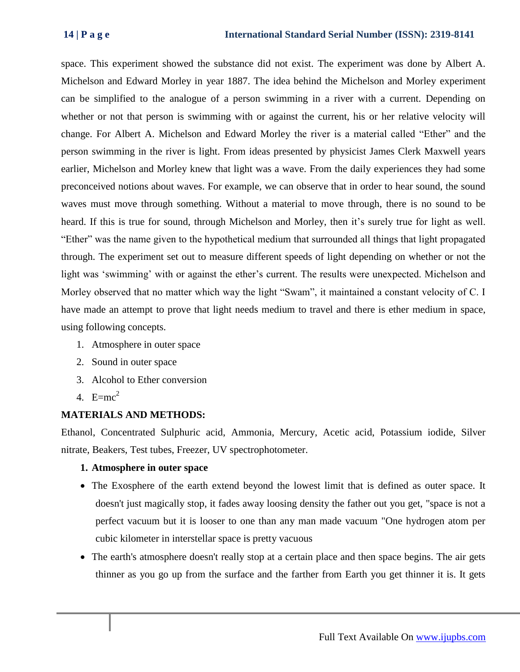space. This experiment showed the substance did not exist. The experiment was done by Albert A. Michelson and Edward Morley in year 1887. The idea behind the Michelson and Morley experiment can be simplified to the analogue of a person swimming in a river with a current. Depending on whether or not that person is swimming with or against the current, his or her relative velocity will change. For Albert A. Michelson and Edward Morley the river is a material called "Ether" and the person swimming in the river is light. From ideas presented by physicist James Clerk Maxwell years earlier, Michelson and Morley knew that light was a wave. From the daily experiences they had some preconceived notions about waves. For example, we can observe that in order to hear sound, the sound waves must move through something. Without a material to move through, there is no sound to be heard. If this is true for sound, through Michelson and Morley, then it's surely true for light as well. "Ether" was the name given to the hypothetical medium that surrounded all things that light propagated through. The experiment set out to measure different speeds of light depending on whether or not the light was 'swimming' with or against the ether's current. The results were unexpected. Michelson and Morley observed that no matter which way the light "Swam", it maintained a constant velocity of C. I have made an attempt to prove that light needs medium to travel and there is ether medium in space, using following concepts.

- 1. Atmosphere in outer space
- 2. Sound in outer space
- 3. Alcohol to Ether conversion
- 4.  $E=mc^2$

# **MATERIALS AND METHODS:**

Ethanol, Concentrated Sulphuric acid, Ammonia, Mercury, Acetic acid, Potassium iodide, Silver nitrate, Beakers, Test tubes, Freezer, UV spectrophotometer.

# **1. Atmosphere in outer space**

- The Exosphere of the earth extend beyond the lowest limit that is defined as outer space. It doesn't just magically stop, it fades away loosing density the father out you get, "space is not a perfect vacuum but it is looser to one than any man made vacuum "One hydrogen atom per cubic kilometer in interstellar space is pretty vacuous
- The earth's atmosphere doesn't really stop at a certain place and then space begins. The air gets thinner as you go up from the surface and the farther from Earth you get thinner it is. It gets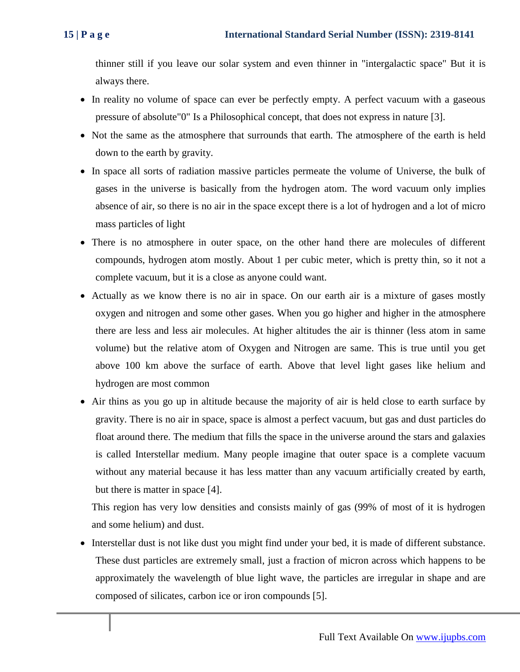thinner still if you leave our solar system and even thinner in "intergalactic space" But it is always there.

- In reality no volume of space can ever be perfectly empty. A perfect vacuum with a gaseous pressure of absolute"0" Is a Philosophical concept, that does not express in nature [3].
- Not the same as the atmosphere that surrounds that earth. The atmosphere of the earth is held down to the earth by gravity.
- In space all sorts of radiation massive particles permeate the volume of Universe, the bulk of gases in the universe is basically from the hydrogen atom. The word vacuum only implies absence of air, so there is no air in the space except there is a lot of hydrogen and a lot of micro mass particles of light
- There is no atmosphere in outer space, on the other hand there are molecules of different compounds, hydrogen atom mostly. About 1 per cubic meter, which is pretty thin, so it not a complete vacuum, but it is a close as anyone could want.
- Actually as we know there is no air in space. On our earth air is a mixture of gases mostly oxygen and nitrogen and some other gases. When you go higher and higher in the atmosphere there are less and less air molecules. At higher altitudes the air is thinner (less atom in same volume) but the relative atom of Oxygen and Nitrogen are same. This is true until you get above 100 km above the surface of earth. Above that level light gases like helium and hydrogen are most common
- Air thins as you go up in altitude because the majority of air is held close to earth surface by gravity. There is no air in space, space is almost a perfect vacuum, but gas and dust particles do float around there. The medium that fills the space in the universe around the stars and galaxies is called Interstellar medium. Many people imagine that outer space is a complete vacuum without any material because it has less matter than any vacuum artificially created by earth, but there is matter in space [4].

This region has very low densities and consists mainly of gas (99% of most of it is hydrogen and some helium) and dust.

 Interstellar dust is not like dust you might find under your bed, it is made of different substance. These dust particles are extremely small, just a fraction of micron across which happens to be approximately the wavelength of blue light wave, the particles are irregular in shape and are composed of silicates, carbon ice or iron compounds [5].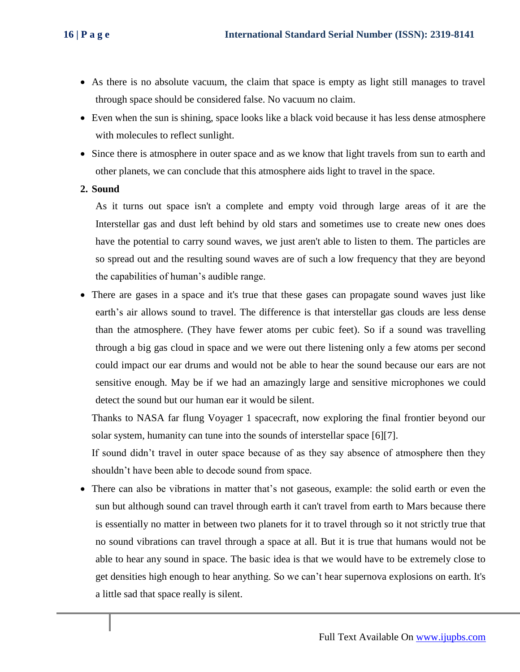- As there is no absolute vacuum, the claim that space is empty as light still manages to travel through space should be considered false. No vacuum no claim.
- Even when the sun is shining, space looks like a black void because it has less dense atmosphere with molecules to reflect sunlight.
- Since there is atmosphere in outer space and as we know that light travels from sun to earth and other planets, we can conclude that this atmosphere aids light to travel in the space.
- **2. Sound**

As it turns out space isn't a complete and empty void through large areas of it are the Interstellar gas and dust left behind by old stars and sometimes use to create new ones does have the potential to carry sound waves, we just aren't able to listen to them. The particles are so spread out and the resulting sound waves are of such a low frequency that they are beyond the capabilities of human's audible range.

 There are gases in a space and it's true that these gases can propagate sound waves just like earth's air allows sound to travel. The difference is that interstellar gas clouds are less dense than the atmosphere. (They have fewer atoms per cubic feet). So if a sound was travelling through a big gas cloud in space and we were out there listening only a few atoms per second could impact our ear drums and would not be able to hear the sound because our ears are not sensitive enough. May be if we had an amazingly large and sensitive microphones we could detect the sound but our human ear it would be silent.

Thanks to NASA far flung Voyager 1 spacecraft, now exploring the final frontier beyond our solar system, humanity can tune into the sounds of interstellar space [6][7].

If sound didn't travel in outer space because of as they say absence of atmosphere then they shouldn't have been able to decode sound from space.

 There can also be vibrations in matter that's not gaseous, example: the solid earth or even the sun but although sound can travel through earth it can't travel from earth to Mars because there is essentially no matter in between two planets for it to travel through so it not strictly true that no sound vibrations can travel through a space at all. But it is true that humans would not be able to hear any sound in space. The basic idea is that we would have to be extremely close to get densities high enough to hear anything. So we can't hear supernova explosions on earth. It's a little sad that space really is silent.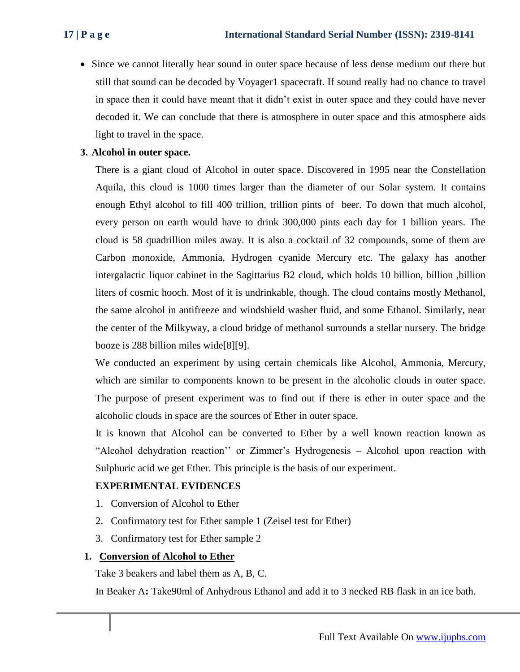• Since we cannot literally hear sound in outer space because of less dense medium out there but still that sound can be decoded by Voyager1 spacecraft. If sound really had no chance to travel in space then it could have meant that it didn't exist in outer space and they could have never decoded it. We can conclude that there is atmosphere in outer space and this atmosphere aids light to travel in the space.

# **3. Alcohol in outer space.**

There is a giant cloud of Alcohol in outer space. Discovered in 1995 near the Constellation Aquila, this cloud is 1000 times larger than the diameter of our Solar system. It contains enough Ethyl alcohol to fill 400 trillion, trillion pints of beer. To down that much alcohol, every person on earth would have to drink 300,000 pints each day for 1 billion years. The cloud is 58 quadrillion miles away. It is also a cocktail of 32 compounds, some of them are Carbon monoxide, Ammonia, Hydrogen cyanide Mercury etc. The galaxy has another intergalactic liquor cabinet in the Sagittarius B2 cloud, which holds 10 billion, billion ,billion liters of cosmic hooch. Most of it is undrinkable, though. The cloud contains mostly Methanol, the same alcohol in antifreeze and windshield washer fluid, and some Ethanol. Similarly, near the center of the Milkyway, a cloud bridge of methanol surrounds a stellar nursery. The bridge booze is 288 billion miles wide[8][9].

We conducted an experiment by using certain chemicals like Alcohol, Ammonia, Mercury, which are similar to components known to be present in the alcoholic clouds in outer space. The purpose of present experiment was to find out if there is ether in outer space and the alcoholic clouds in space are the sources of Ether in outer space.

It is known that Alcohol can be converted to Ether by a well known reaction known as "Alcohol dehydration reaction'' or Zimmer's Hydrogenesis – Alcohol upon reaction with Sulphuric acid we get Ether. This principle is the basis of our experiment.

### **EXPERIMENTAL EVIDENCES**

- 1. Conversion of Alcohol to Ether
- 2. Confirmatory test for Ether sample 1 (Zeisel test for Ether)
- 3. Confirmatory test for Ether sample 2

# **1. Conversion of Alcohol to Ether**

Take 3 beakers and label them as A, B, C.

In Beaker A**:** Take90ml of Anhydrous Ethanol and add it to 3 necked RB flask in an ice bath.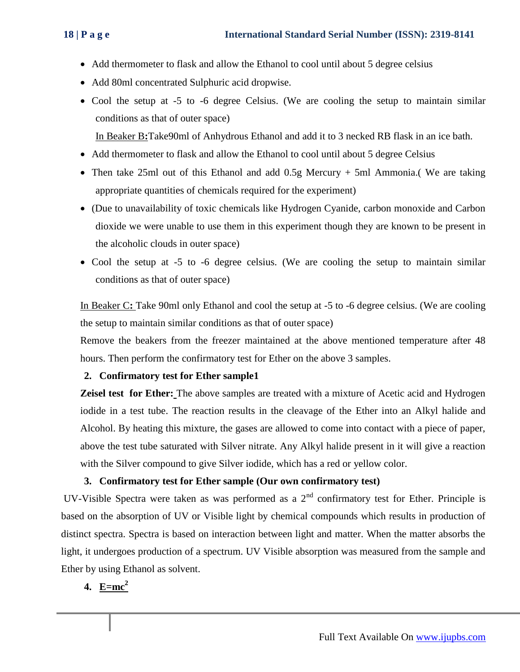- Add thermometer to flask and allow the Ethanol to cool until about 5 degree celsius
- Add 80ml concentrated Sulphuric acid dropwise.
- Cool the setup at -5 to -6 degree Celsius. (We are cooling the setup to maintain similar conditions as that of outer space)

In Beaker B**:**Take90ml of Anhydrous Ethanol and add it to 3 necked RB flask in an ice bath.

- Add thermometer to flask and allow the Ethanol to cool until about 5 degree Celsius
- Then take 25ml out of this Ethanol and add 0.5g Mercury + 5ml Ammonia. We are taking appropriate quantities of chemicals required for the experiment)
- (Due to unavailability of toxic chemicals like Hydrogen Cyanide, carbon monoxide and Carbon dioxide we were unable to use them in this experiment though they are known to be present in the alcoholic clouds in outer space)
- Cool the setup at -5 to -6 degree celsius. (We are cooling the setup to maintain similar conditions as that of outer space)

In Beaker C: Take 90ml only Ethanol and cool the setup at -5 to -6 degree celsius. (We are cooling the setup to maintain similar conditions as that of outer space)

Remove the beakers from the freezer maintained at the above mentioned temperature after 48 hours. Then perform the confirmatory test for Ether on the above 3 samples.

### **2. Confirmatory test for Ether sample1**

**Zeisel test for Ether:** The above samples are treated with a mixture of Acetic acid and Hydrogen iodide in a test tube. The reaction results in the cleavage of the Ether into an Alkyl halide and Alcohol. By heating this mixture, the gases are allowed to come into contact with a piece of paper, above the test tube saturated with Silver nitrate. Any Alkyl halide present in it will give a reaction with the Silver compound to give Silver iodide, which has a red or yellow color.

### **3. Confirmatory test for Ether sample (Our own confirmatory test)**

UV-Visible Spectra were taken as was performed as a  $2<sup>nd</sup>$  confirmatory test for Ether. Principle is based on the absorption of UV or Visible light by chemical compounds which results in production of distinct spectra. Spectra is based on interaction between light and matter. When the matter absorbs the light, it undergoes production of a spectrum. UV Visible absorption was measured from the sample and Ether by using Ethanol as solvent.

# **4. E=mc<sup>2</sup>**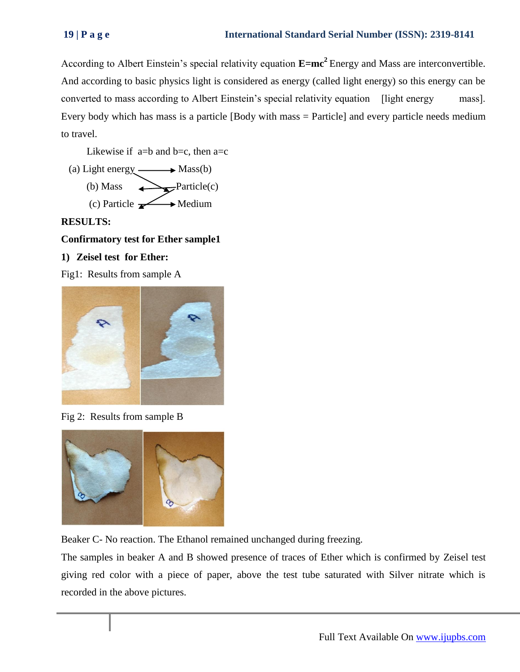According to Albert Einstein's special relativity equation **E=mc<sup>2</sup>**Energy and Mass are interconvertible. And according to basic physics light is considered as energy (called light energy) so this energy can be converted to mass according to Albert Einstein's special relativity equation [light energy mass]. Every body which has mass is a particle [Body with mass = Particle] and every particle needs medium to travel.

Likewise if  $a=b$  and  $b=c$ , then  $a=c$ 

(a) Light energy  $\longrightarrow$  Mass(b) (b) Mass  $\longrightarrow$  Particle(c) (c) Particle  $\longrightarrow$  Medium

# **RESULTS:**

# **Confirmatory test for Ether sample1**

# **1) Zeisel test for Ether:**

Fig1: Results from sample A



Fig 2: Results from sample B



Beaker C- No reaction. The Ethanol remained unchanged during freezing.

The samples in beaker A and B showed presence of traces of Ether which is confirmed by Zeisel test giving red color with a piece of paper, above the test tube saturated with Silver nitrate which is recorded in the above pictures.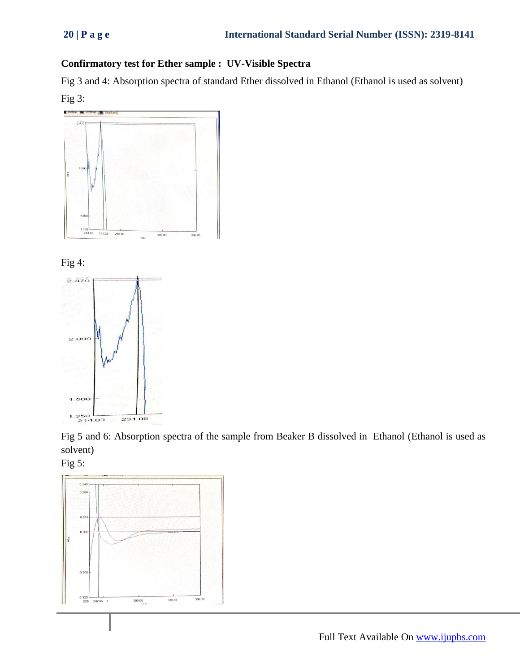# **Confirmatory test for Ether sample : UV-Visible Spectra**

Fig 3 and 4: Absorption spectra of standard Ether dissolved in Ethanol (Ethanol is used as solvent) Fig 3:







Fig 5 and 6: Absorption spectra of the sample from Beaker B dissolved in Ethanol (Ethanol is used as solvent)



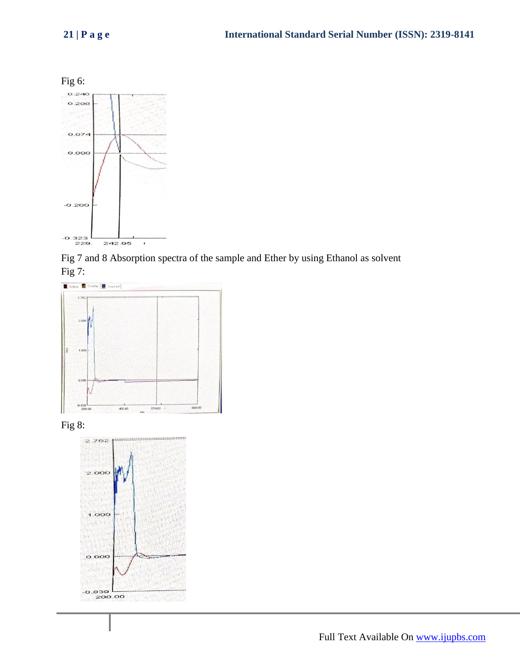

Fig 7 and 8 Absorption spectra of the sample and Ether by using Ethanol as solvent Fig 7:



Fig 8: